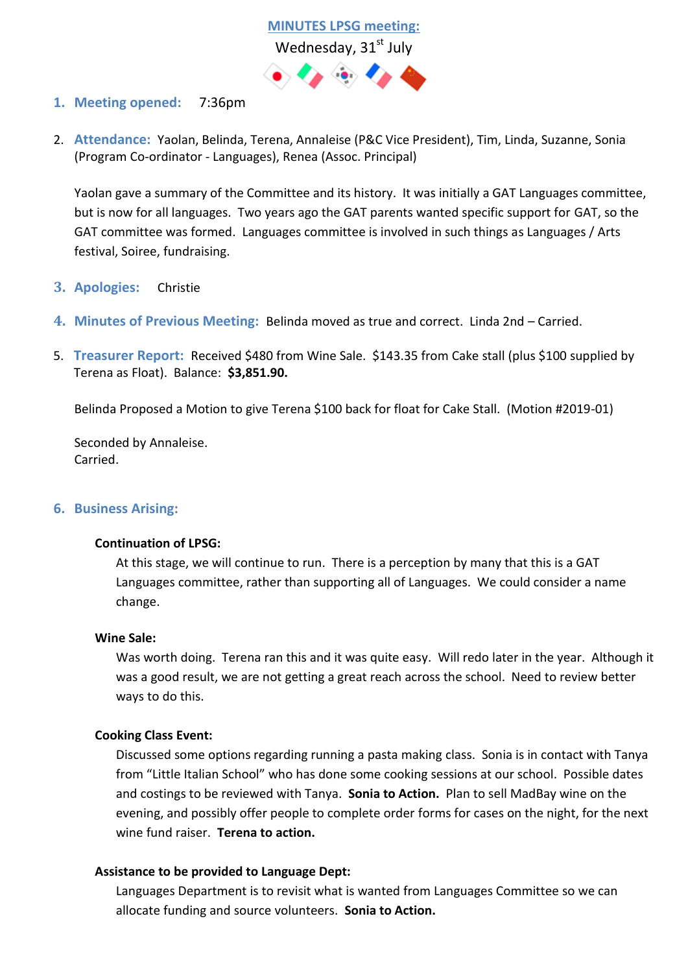

# **1. Meeting opened:** 7:36pm

2. **Attendance:** Yaolan, Belinda, Terena, Annaleise (P&C Vice President), Tim, Linda, Suzanne, Sonia (Program Co-ordinator - Languages), Renea (Assoc. Principal)

Yaolan gave a summary of the Committee and its history. It was initially a GAT Languages committee, but is now for all languages. Two years ago the GAT parents wanted specific support for GAT, so the GAT committee was formed. Languages committee is involved in such things as Languages / Arts festival, Soiree, fundraising.

- **3. Apologies:** Christie
- **4. Minutes of Previous Meeting:** Belinda moved as true and correct. Linda 2nd Carried.
- 5. **Treasurer Report:** Received \$480 from Wine Sale. \$143.35 from Cake stall (plus \$100 supplied by Terena as Float). Balance: **\$3,851.90.**

Belinda Proposed a Motion to give Terena \$100 back for float for Cake Stall. (Motion #2019-01)

Seconded by Annaleise. Carried.

### **6. Business Arising:**

### **Continuation of LPSG:**

At this stage, we will continue to run. There is a perception by many that this is a GAT Languages committee, rather than supporting all of Languages. We could consider a name change.

### **Wine Sale:**

Was worth doing. Terena ran this and it was quite easy. Will redo later in the year. Although it was a good result, we are not getting a great reach across the school. Need to review better ways to do this.

### **Cooking Class Event:**

Discussed some options regarding running a pasta making class. Sonia is in contact with Tanya from "Little Italian School" who has done some cooking sessions at our school. Possible dates and costings to be reviewed with Tanya. **Sonia to Action.** Plan to sell MadBay wine on the evening, and possibly offer people to complete order forms for cases on the night, for the next wine fund raiser. **Terena to action.**

### **Assistance to be provided to Language Dept:**

Languages Department is to revisit what is wanted from Languages Committee so we can allocate funding and source volunteers. **Sonia to Action.**